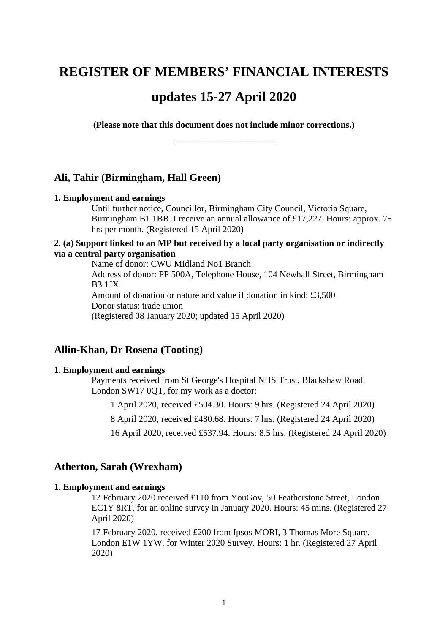# **REGISTER OF MEMBERS' FINANCIAL INTERESTS**

# **updates 15-27 April 2020**

**(Please note that this document does not include minor corrections.) \_\_\_\_\_\_\_\_\_\_\_\_\_\_\_\_\_**

### **Ali, Tahir (Birmingham, Hall Green)**

#### **1. Employment and earnings**

Until further notice, Councillor, Birmingham City Council, Victoria Square, Birmingham B1 1BB. I receive an annual allowance of £17,227. Hours: approx. 75 hrs per month. (Registered 15 April 2020)

### **2. (a) Support linked to an MP but received by a local party organisation or indirectly via a central party organisation**

Name of donor: CWU Midland No1 Branch Address of donor: PP 500A, Telephone House, 104 Newhall Street, Birmingham B3 1JX Amount of donation or nature and value if donation in kind: £3,500 Donor status: trade union (Registered 08 January 2020; updated 15 April 2020)

# **Allin-Khan, Dr Rosena (Tooting)**

#### **1. Employment and earnings**

Payments received from St George's Hospital NHS Trust, Blackshaw Road, London SW17 0QT, for my work as a doctor:

1 April 2020, received £504.30. Hours: 9 hrs. (Registered 24 April 2020)

8 April 2020, received £480.68. Hours: 7 hrs. (Registered 24 April 2020)

16 April 2020, received £537.94. Hours: 8.5 hrs. (Registered 24 April 2020)

#### **Atherton, Sarah (Wrexham)**

#### **1. Employment and earnings**

12 February 2020 received £110 from YouGov, 50 Featherstone Street, London EC1Y 8RT, for an online survey in January 2020. Hours: 45 mins. (Registered 27 April 2020)

17 February 2020, received £200 from Ipsos MORI, 3 Thomas More Square, London E1W 1YW, for Winter 2020 Survey. Hours: 1 hr. (Registered 27 April 2020)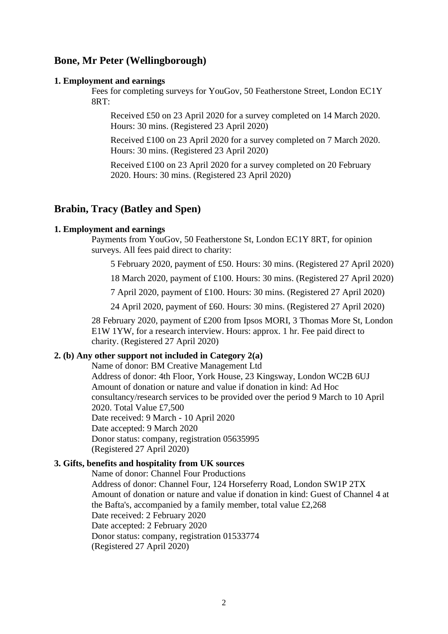# **Bone, Mr Peter (Wellingborough)**

#### **1. Employment and earnings**

Fees for completing surveys for YouGov, 50 Featherstone Street, London EC1Y 8RT:

Received £50 on 23 April 2020 for a survey completed on 14 March 2020. Hours: 30 mins. (Registered 23 April 2020)

Received £100 on 23 April 2020 for a survey completed on 7 March 2020. Hours: 30 mins. (Registered 23 April 2020)

Received £100 on 23 April 2020 for a survey completed on 20 February 2020. Hours: 30 mins. (Registered 23 April 2020)

### **Brabin, Tracy (Batley and Spen)**

#### **1. Employment and earnings**

Payments from YouGov, 50 Featherstone St, London EC1Y 8RT, for opinion surveys. All fees paid direct to charity:

5 February 2020, payment of £50. Hours: 30 mins. (Registered 27 April 2020)

18 March 2020, payment of £100. Hours: 30 mins. (Registered 27 April 2020)

7 April 2020, payment of £100. Hours: 30 mins. (Registered 27 April 2020)

24 April 2020, payment of £60. Hours: 30 mins. (Registered 27 April 2020)

28 February 2020, payment of £200 from Ipsos MORI, 3 Thomas More St, London E1W 1YW, for a research interview. Hours: approx. 1 hr. Fee paid direct to charity. (Registered 27 April 2020)

### **2. (b) Any other support not included in Category 2(a)**

Name of donor: BM Creative Management Ltd Address of donor: 4th Floor, York House, 23 Kingsway, London WC2B 6UJ Amount of donation or nature and value if donation in kind: Ad Hoc consultancy/research services to be provided over the period 9 March to 10 April 2020. Total Value £7,500 Date received: 9 March - 10 April 2020 Date accepted: 9 March 2020 Donor status: company, registration 05635995 (Registered 27 April 2020)

### **3. Gifts, benefits and hospitality from UK sources**

Name of donor: Channel Four Productions Address of donor: Channel Four, 124 Horseferry Road, London SW1P 2TX Amount of donation or nature and value if donation in kind: Guest of Channel 4 at the Bafta's, accompanied by a family member, total value £2,268 Date received: 2 February 2020 Date accepted: 2 February 2020 Donor status: company, registration 01533774 (Registered 27 April 2020)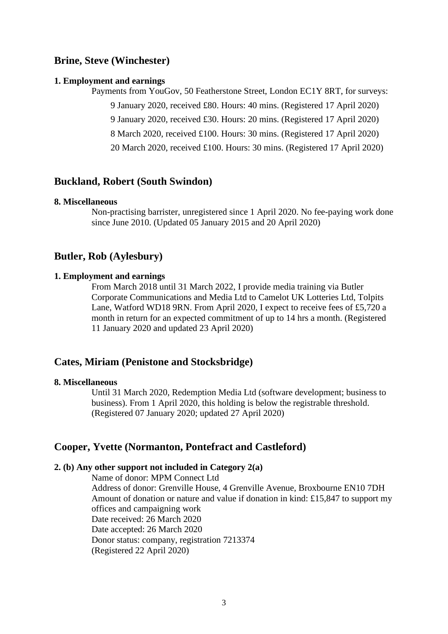# **Brine, Steve (Winchester)**

#### **1. Employment and earnings**

Payments from YouGov, 50 Featherstone Street, London EC1Y 8RT, for surveys:

9 January 2020, received £80. Hours: 40 mins. (Registered 17 April 2020)

9 January 2020, received £30. Hours: 20 mins. (Registered 17 April 2020)

8 March 2020, received £100. Hours: 30 mins. (Registered 17 April 2020)

20 March 2020, received £100. Hours: 30 mins. (Registered 17 April 2020)

### **Buckland, Robert (South Swindon)**

#### **8. Miscellaneous**

Non-practising barrister, unregistered since 1 April 2020. No fee-paying work done since June 2010. (Updated 05 January 2015 and 20 April 2020)

### **Butler, Rob (Aylesbury)**

#### **1. Employment and earnings**

From March 2018 until 31 March 2022, I provide media training via Butler Corporate Communications and Media Ltd to Camelot UK Lotteries Ltd, Tolpits Lane, Watford WD18 9RN. From April 2020, I expect to receive fees of £5,720 a month in return for an expected commitment of up to 14 hrs a month. (Registered 11 January 2020 and updated 23 April 2020)

### **Cates, Miriam (Penistone and Stocksbridge)**

#### **8. Miscellaneous**

Until 31 March 2020, Redemption Media Ltd (software development; business to business). From 1 April 2020, this holding is below the registrable threshold. (Registered 07 January 2020; updated 27 April 2020)

### **Cooper, Yvette (Normanton, Pontefract and Castleford)**

#### **2. (b) Any other support not included in Category 2(a)**

Name of donor: MPM Connect Ltd Address of donor: Grenville House, 4 Grenville Avenue, Broxbourne EN10 7DH Amount of donation or nature and value if donation in kind: £15,847 to support my offices and campaigning work Date received: 26 March 2020 Date accepted: 26 March 2020 Donor status: company, registration 7213374 (Registered 22 April 2020)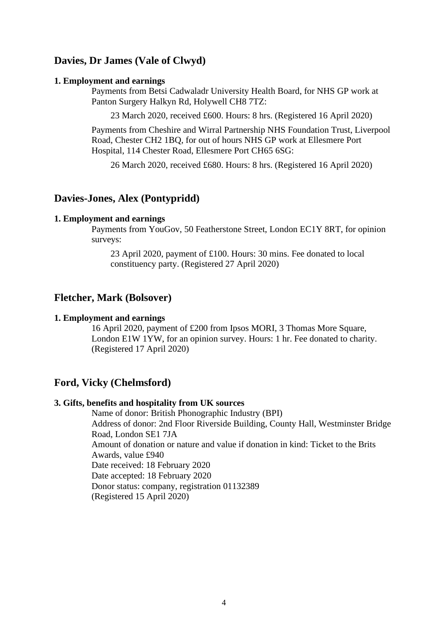# **Davies, Dr James (Vale of Clwyd)**

#### **1. Employment and earnings**

Payments from Betsi Cadwaladr University Health Board, for NHS GP work at Panton Surgery Halkyn Rd, Holywell CH8 7TZ:

23 March 2020, received £600. Hours: 8 hrs. (Registered 16 April 2020)

Payments from Cheshire and Wirral Partnership NHS Foundation Trust, Liverpool Road, Chester CH2 1BQ, for out of hours NHS GP work at Ellesmere Port Hospital, 114 Chester Road, Ellesmere Port CH65 6SG:

26 March 2020, received £680. Hours: 8 hrs. (Registered 16 April 2020)

# **Davies-Jones, Alex (Pontypridd)**

#### **1. Employment and earnings**

Payments from YouGov, 50 Featherstone Street, London EC1Y 8RT, for opinion surveys:

23 April 2020, payment of £100. Hours: 30 mins. Fee donated to local constituency party. (Registered 27 April 2020)

### **Fletcher, Mark (Bolsover)**

#### **1. Employment and earnings**

16 April 2020, payment of £200 from Ipsos MORI, 3 Thomas More Square, London E1W 1YW, for an opinion survey. Hours: 1 hr. Fee donated to charity. (Registered 17 April 2020)

## **Ford, Vicky (Chelmsford)**

#### **3. Gifts, benefits and hospitality from UK sources**

Name of donor: British Phonographic Industry (BPI) Address of donor: 2nd Floor Riverside Building, County Hall, Westminster Bridge Road, London SE1 7JA Amount of donation or nature and value if donation in kind: Ticket to the Brits Awards, value £940 Date received: 18 February 2020 Date accepted: 18 February 2020 Donor status: company, registration 01132389 (Registered 15 April 2020)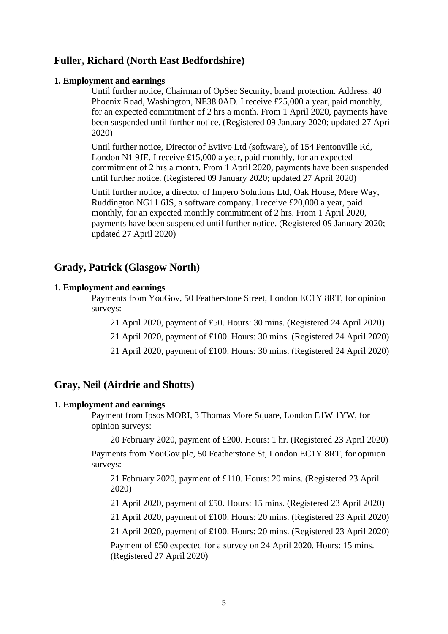# **Fuller, Richard (North East Bedfordshire)**

#### **1. Employment and earnings**

Until further notice, Chairman of OpSec Security, brand protection. Address: 40 Phoenix Road, Washington, NE38 0AD. I receive £25,000 a year, paid monthly, for an expected commitment of 2 hrs a month. From 1 April 2020, payments have been suspended until further notice. (Registered 09 January 2020; updated 27 April 2020)

Until further notice, Director of Eviivo Ltd (software), of 154 Pentonville Rd, London N1 9JE. I receive £15,000 a year, paid monthly, for an expected commitment of 2 hrs a month. From 1 April 2020, payments have been suspended until further notice. (Registered 09 January 2020; updated 27 April 2020)

Until further notice, a director of Impero Solutions Ltd, Oak House, Mere Way, Ruddington NG11 6JS, a software company. I receive £20,000 a year, paid monthly, for an expected monthly commitment of 2 hrs. From 1 April 2020, payments have been suspended until further notice. (Registered 09 January 2020; updated 27 April 2020)

### **Grady, Patrick (Glasgow North)**

#### **1. Employment and earnings**

Payments from YouGov, 50 Featherstone Street, London EC1Y 8RT, for opinion surveys:

21 April 2020, payment of £50. Hours: 30 mins. (Registered 24 April 2020)

21 April 2020, payment of £100. Hours: 30 mins. (Registered 24 April 2020)

21 April 2020, payment of £100. Hours: 30 mins. (Registered 24 April 2020)

### **Gray, Neil (Airdrie and Shotts)**

#### **1. Employment and earnings**

Payment from Ipsos MORI, 3 Thomas More Square, London E1W 1YW, for opinion surveys:

20 February 2020, payment of £200. Hours: 1 hr. (Registered 23 April 2020)

Payments from YouGov plc, 50 Featherstone St, London EC1Y 8RT, for opinion surveys:

21 February 2020, payment of £110. Hours: 20 mins. (Registered 23 April 2020)

21 April 2020, payment of £50. Hours: 15 mins. (Registered 23 April 2020)

21 April 2020, payment of £100. Hours: 20 mins. (Registered 23 April 2020)

21 April 2020, payment of £100. Hours: 20 mins. (Registered 23 April 2020)

Payment of £50 expected for a survey on 24 April 2020. Hours: 15 mins. (Registered 27 April 2020)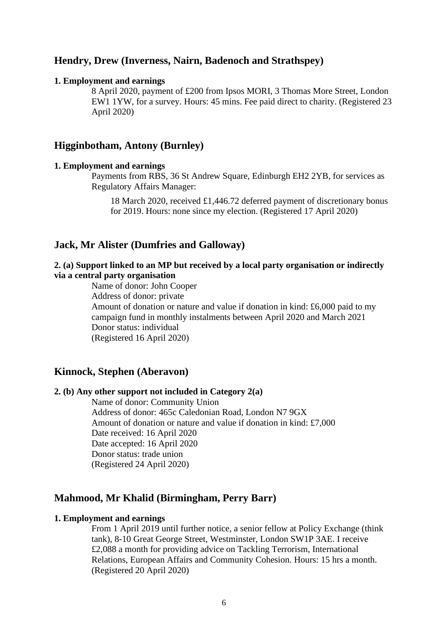### **Hendry, Drew (Inverness, Nairn, Badenoch and Strathspey)**

#### **1. Employment and earnings**

8 April 2020, payment of £200 from Ipsos MORI, 3 Thomas More Street, London EW1 1YW, for a survey. Hours: 45 mins. Fee paid direct to charity. (Registered 23 April 2020)

## **Higginbotham, Antony (Burnley)**

#### **1. Employment and earnings**

Payments from RBS, 36 St Andrew Square, Edinburgh EH2 2YB, for services as Regulatory Affairs Manager:

18 March 2020, received £1,446.72 deferred payment of discretionary bonus for 2019. Hours: none since my election. (Registered 17 April 2020)

# **Jack, Mr Alister (Dumfries and Galloway)**

### **2. (a) Support linked to an MP but received by a local party organisation or indirectly via a central party organisation**

Name of donor: John Cooper Address of donor: private Amount of donation or nature and value if donation in kind: £6,000 paid to my campaign fund in monthly instalments between April 2020 and March 2021 Donor status: individual (Registered 16 April 2020)

### **Kinnock, Stephen (Aberavon)**

### **2. (b) Any other support not included in Category 2(a)**

Name of donor: Community Union Address of donor: 465c Caledonian Road, London N7 9GX Amount of donation or nature and value if donation in kind: £7,000 Date received: 16 April 2020 Date accepted: 16 April 2020 Donor status: trade union (Registered 24 April 2020)

#### **Mahmood, Mr Khalid (Birmingham, Perry Barr)**

#### **1. Employment and earnings**

From 1 April 2019 until further notice, a senior fellow at Policy Exchange (think tank), 8-10 Great George Street, Westminster, London SW1P 3AE. I receive £2,088 a month for providing advice on Tackling Terrorism, International Relations, European Affairs and Community Cohesion. Hours: 15 hrs a month. (Registered 20 April 2020)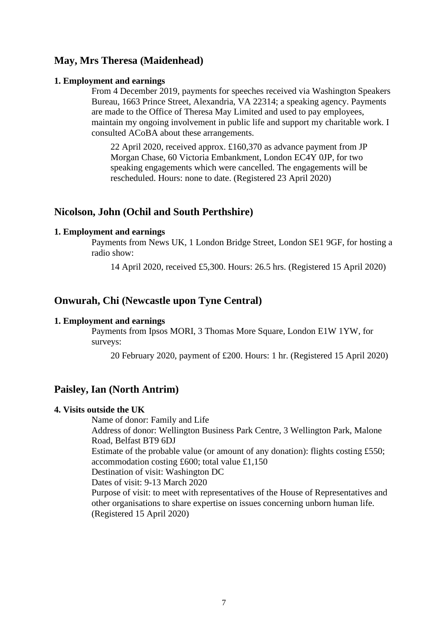# **May, Mrs Theresa (Maidenhead)**

#### **1. Employment and earnings**

From 4 December 2019, payments for speeches received via Washington Speakers Bureau, 1663 Prince Street, Alexandria, VA 22314; a speaking agency. Payments are made to the Office of Theresa May Limited and used to pay employees, maintain my ongoing involvement in public life and support my charitable work. I consulted ACoBA about these arrangements.

22 April 2020, received approx. £160,370 as advance payment from JP Morgan Chase, 60 Victoria Embankment, London EC4Y 0JP, for two speaking engagements which were cancelled. The engagements will be rescheduled. Hours: none to date. (Registered 23 April 2020)

### **Nicolson, John (Ochil and South Perthshire)**

#### **1. Employment and earnings**

Payments from News UK, 1 London Bridge Street, London SE1 9GF, for hosting a radio show:

14 April 2020, received £5,300. Hours: 26.5 hrs. (Registered 15 April 2020)

# **Onwurah, Chi (Newcastle upon Tyne Central)**

#### **1. Employment and earnings**

Payments from Ipsos MORI, 3 Thomas More Square, London E1W 1YW, for surveys:

20 February 2020, payment of £200. Hours: 1 hr. (Registered 15 April 2020)

### **Paisley, Ian (North Antrim)**

### **4. Visits outside the UK**

Name of donor: Family and Life Address of donor: Wellington Business Park Centre, 3 Wellington Park, Malone Road, Belfast BT9 6DJ Estimate of the probable value (or amount of any donation): flights costing £550; accommodation costing £600; total value £1,150 Destination of visit: Washington DC Dates of visit: 9-13 March 2020 Purpose of visit: to meet with representatives of the House of Representatives and other organisations to share expertise on issues concerning unborn human life. (Registered 15 April 2020)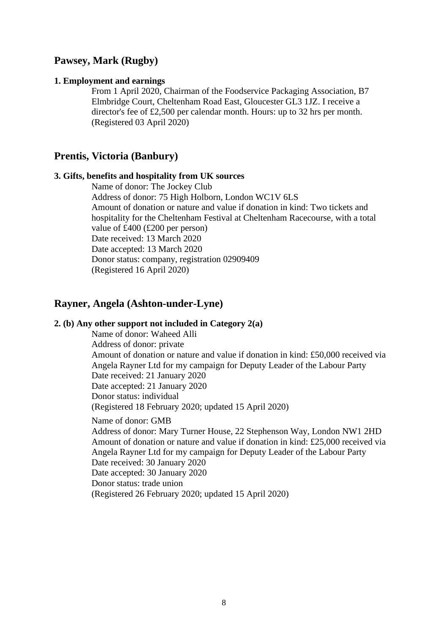### **Pawsey, Mark (Rugby)**

#### **1. Employment and earnings**

From 1 April 2020, Chairman of the Foodservice Packaging Association, B7 Elmbridge Court, Cheltenham Road East, Gloucester GL3 1JZ. I receive a director's fee of £2,500 per calendar month. Hours: up to 32 hrs per month. (Registered 03 April 2020)

### **Prentis, Victoria (Banbury)**

#### **3. Gifts, benefits and hospitality from UK sources**

Name of donor: The Jockey Club Address of donor: 75 High Holborn, London WC1V 6LS Amount of donation or nature and value if donation in kind: Two tickets and hospitality for the Cheltenham Festival at Cheltenham Racecourse, with a total value of £400 (£200 per person) Date received: 13 March 2020 Date accepted: 13 March 2020 Donor status: company, registration 02909409 (Registered 16 April 2020)

### **Rayner, Angela (Ashton-under-Lyne)**

#### **2. (b) Any other support not included in Category 2(a)**

Name of donor: Waheed Alli Address of donor: private Amount of donation or nature and value if donation in kind: £50,000 received via Angela Rayner Ltd for my campaign for Deputy Leader of the Labour Party Date received: 21 January 2020 Date accepted: 21 January 2020 Donor status: individual (Registered 18 February 2020; updated 15 April 2020)

Name of donor: GMB

Address of donor: Mary Turner House, 22 Stephenson Way, London NW1 2HD Amount of donation or nature and value if donation in kind: £25,000 received via Angela Rayner Ltd for my campaign for Deputy Leader of the Labour Party Date received: 30 January 2020 Date accepted: 30 January 2020 Donor status: trade union (Registered 26 February 2020; updated 15 April 2020)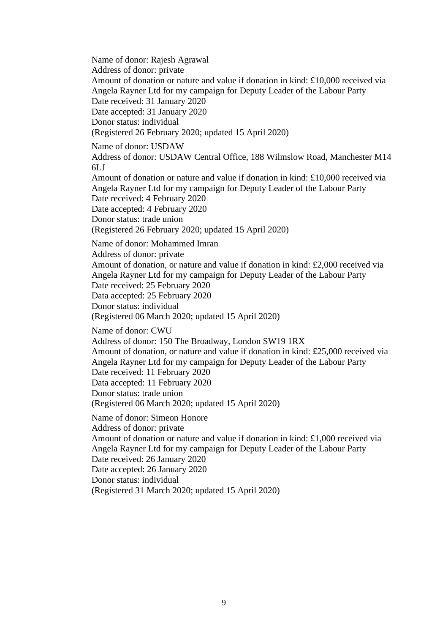Name of donor: Rajesh Agrawal Address of donor: private Amount of donation or nature and value if donation in kind: £10,000 received via Angela Rayner Ltd for my campaign for Deputy Leader of the Labour Party Date received: 31 January 2020 Date accepted: 31 January 2020 Donor status: individual (Registered 26 February 2020; updated 15 April 2020) Name of donor: USDAW Address of donor: USDAW Central Office, 188 Wilmslow Road, Manchester M14 6LJ Amount of donation or nature and value if donation in kind: £10,000 received via Angela Rayner Ltd for my campaign for Deputy Leader of the Labour Party Date received: 4 February 2020 Date accepted: 4 February 2020 Donor status: trade union (Registered 26 February 2020; updated 15 April 2020) Name of donor: Mohammed Imran Address of donor: private Amount of donation, or nature and value if donation in kind: £2,000 received via Angela Rayner Ltd for my campaign for Deputy Leader of the Labour Party Date received: 25 February 2020 Data accepted: 25 February 2020 Donor status: individual (Registered 06 March 2020; updated 15 April 2020) Name of donor: CWU Address of donor: 150 The Broadway, London SW19 1RX Amount of donation, or nature and value if donation in kind: £25,000 received via Angela Rayner Ltd for my campaign for Deputy Leader of the Labour Party Date received: 11 February 2020 Data accepted: 11 February 2020 Donor status: trade union (Registered 06 March 2020; updated 15 April 2020) Name of donor: Simeon Honore Address of donor: private Amount of donation or nature and value if donation in kind: £1,000 received via Angela Rayner Ltd for my campaign for Deputy Leader of the Labour Party Date received: 26 January 2020 Date accepted: 26 January 2020 Donor status: individual (Registered 31 March 2020; updated 15 April 2020)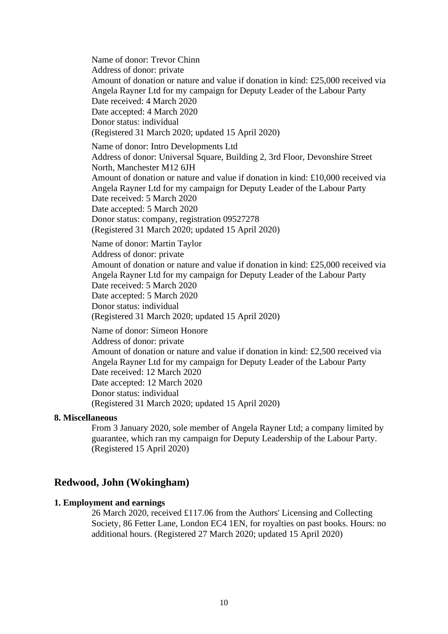Name of donor: Trevor Chinn Address of donor: private Amount of donation or nature and value if donation in kind: £25,000 received via Angela Rayner Ltd for my campaign for Deputy Leader of the Labour Party Date received: 4 March 2020 Date accepted: 4 March 2020 Donor status: individual (Registered 31 March 2020; updated 15 April 2020) Name of donor: Intro Developments Ltd Address of donor: Universal Square, Building 2, 3rd Floor, Devonshire Street North, Manchester M12 6JH Amount of donation or nature and value if donation in kind: £10,000 received via Angela Rayner Ltd for my campaign for Deputy Leader of the Labour Party Date received: 5 March 2020 Date accepted: 5 March 2020 Donor status: company, registration 09527278 (Registered 31 March 2020; updated 15 April 2020) Name of donor: Martin Taylor Address of donor: private Amount of donation or nature and value if donation in kind: £25,000 received via Angela Rayner Ltd for my campaign for Deputy Leader of the Labour Party Date received: 5 March 2020 Date accepted: 5 March 2020 Donor status: individual (Registered 31 March 2020; updated 15 April 2020) Name of donor: Simeon Honore Address of donor: private Amount of donation or nature and value if donation in kind: £2,500 received via Angela Rayner Ltd for my campaign for Deputy Leader of the Labour Party

Date received: 12 March 2020 Date accepted: 12 March 2020 Donor status: individual (Registered 31 March 2020; updated 15 April 2020)

#### **8. Miscellaneous**

From 3 January 2020, sole member of Angela Rayner Ltd; a company limited by guarantee, which ran my campaign for Deputy Leadership of the Labour Party. (Registered 15 April 2020)

# **Redwood, John (Wokingham)**

### **1. Employment and earnings**

26 March 2020, received £117.06 from the Authors' Licensing and Collecting Society, 86 Fetter Lane, London EC4 1EN, for royalties on past books. Hours: no additional hours. (Registered 27 March 2020; updated 15 April 2020)